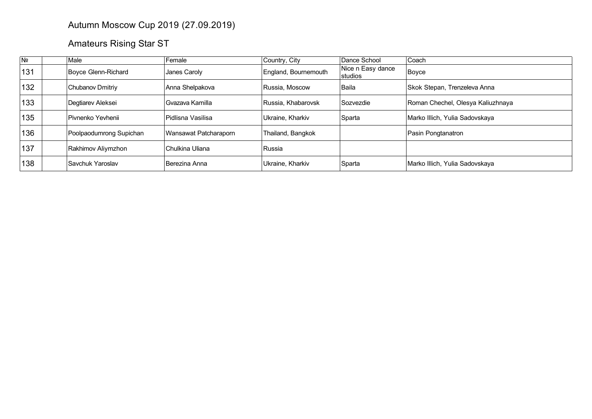## Autumn Moscow Cup 2019 (27.09.2019)

## Amateurs Rising Star ST

| Nº  | Male                    | Female                | Country, City        | Dance School                  | Coach                             |
|-----|-------------------------|-----------------------|----------------------|-------------------------------|-----------------------------------|
| 131 | Boyce Glenn-Richard     | Janes Caroly          | England, Bournemouth | Nice n Easy dance<br> studios | Boyce                             |
| 132 | Chubanov Dmitriy        | Anna Shelpakova       | Russia, Moscow       | Baila                         | Skok Stepan, Trenzeleva Anna      |
| 133 | Degtiarev Aleksei       | Gvazava Kamilla       | Russia. Khabarovsk   | Sozvezdie                     | Roman Chechel, Olesya Kaliuzhnaya |
| 135 | Pivnenko Yevhenii       | Pidlisna Vasilisa     | Ukraine, Kharkiv     | Sparta                        | Marko Illich, Yulia Sadovskaya    |
| 136 | Poolpaodumrong Supichan | Wansawat Patcharaporn | Thailand, Bangkok    |                               | Pasin Pongtanatron                |
| 137 | Rakhimov Aliymzhon      | Chulkina Uliana       | Russia               |                               |                                   |
| 138 | Savchuk Yaroslav        | Berezina Anna         | Ukraine, Kharkiv     | Sparta                        | Marko Illich, Yulia Sadovskaya    |